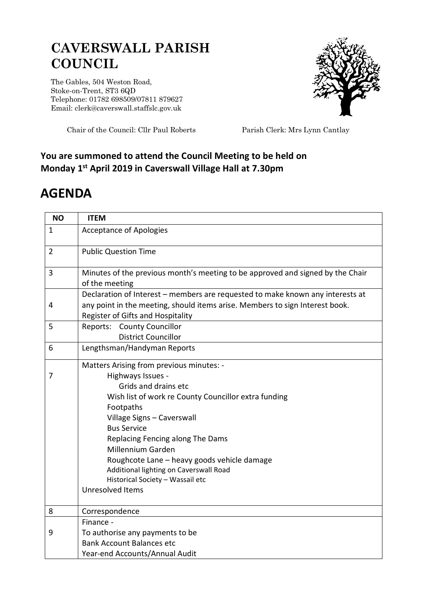## **CAVERSWALL PARISH COUNCIL**

The Gables, 504 Weston Road, Stoke-on-Trent, ST3 6QD Telephone: 01782 698509/07811 879627 Email: clerk@caverswall.staffslc.gov.uk



Chair of the Council: Cllr Paul Roberts Parish Clerk: Mrs Lynn Cantlay

## **You are summoned to attend the Council Meeting to be held on Monday 1 st April 2019 in Caverswall Village Hall at 7.30pm**

## **AGENDA**

| <b>NO</b>      | <b>ITEM</b>                                                                                                                                                                                                                                                                                                                                                                                                                     |
|----------------|---------------------------------------------------------------------------------------------------------------------------------------------------------------------------------------------------------------------------------------------------------------------------------------------------------------------------------------------------------------------------------------------------------------------------------|
| $\mathbf{1}$   | <b>Acceptance of Apologies</b>                                                                                                                                                                                                                                                                                                                                                                                                  |
| $\overline{2}$ | <b>Public Question Time</b>                                                                                                                                                                                                                                                                                                                                                                                                     |
| 3              | Minutes of the previous month's meeting to be approved and signed by the Chair<br>of the meeting                                                                                                                                                                                                                                                                                                                                |
| 4              | Declaration of Interest - members are requested to make known any interests at<br>any point in the meeting, should items arise. Members to sign Interest book.<br>Register of Gifts and Hospitality                                                                                                                                                                                                                             |
| 5              | Reports: County Councillor<br><b>District Councillor</b>                                                                                                                                                                                                                                                                                                                                                                        |
| 6              | Lengthsman/Handyman Reports                                                                                                                                                                                                                                                                                                                                                                                                     |
| 7              | Matters Arising from previous minutes: -<br>Highways Issues -<br>Grids and drains etc<br>Wish list of work re County Councillor extra funding<br>Footpaths<br>Village Signs - Caverswall<br><b>Bus Service</b><br>Replacing Fencing along The Dams<br>Millennium Garden<br>Roughcote Lane - heavy goods vehicle damage<br>Additional lighting on Caverswall Road<br>Historical Society - Wassail etc<br><b>Unresolved Items</b> |
| 8              | Correspondence                                                                                                                                                                                                                                                                                                                                                                                                                  |
|                | Finance -                                                                                                                                                                                                                                                                                                                                                                                                                       |
| 9              | To authorise any payments to be                                                                                                                                                                                                                                                                                                                                                                                                 |
|                | <b>Bank Account Balances etc</b><br>Year-end Accounts/Annual Audit                                                                                                                                                                                                                                                                                                                                                              |